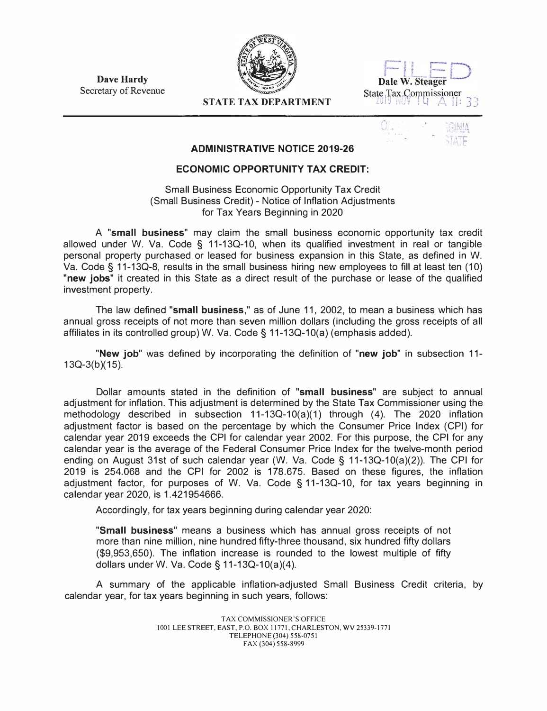**Dave Hardy**  Secretary of Revenue





## **STATE TAX DEPARTMENT**

| ÷<br>٠<br>r<br>٠<br>,<br>w<br>٠ | $\sim$<br>×. |                                  |
|---------------------------------|--------------|----------------------------------|
| ٠<br>٠<br>. .<br>岀<br>۱         | B            | ÷<br>۲<br>a<br>r<br>E3<br>Ł<br>٠ |

## **ADMINISTRATIVE NOTICE 2019-26**

## **ECONOMIC OPPORTUNITY TAX CREDIT:**

Small Business Economic Opportunity Tax Credit (Small Business Credit) - Notice of Inflation Adjustments for Tax Years Beginning in 2020

A **"small business"** may claim the small business economic opportunity tax credit allowed under W. Va. Code § 11-13Q-10, when its qualified investment in real or tangible personal property purchased or leased for business expansion in this State, as defined in W. Va. Code§ 11-13Q-8, results in the small business hiring new employees to fill at least ten (10) **"new jobs"** it created in this State as a direct result of the purchase or lease of the qualified investment property.

The law defined **"small business,"** as of June 11, 2002, to mean a business which has annual gross receipts of not more than seven million dollars (including the gross receipts of all affiliates in its controlled group) W. Va. Code§ 11-13Q-10(a) (emphasis added).

**"New job"** was defined by incorporating the definition of **"new job"** in subsection 11-  $13Q-3(b)(15)$ .

Dollar amounts stated in the definition of **"small business"** are subject to annual adjustment for inflation. This adjustment is determined by the State Tax Commissioner using the methodology described in subsection  $11-13Q-10(a)(1)$  through (4). The 2020 inflation adjustment factor is based on the percentage by which the Consumer Price Index (CPI) for calendar year 2019 exceeds the CPI for calendar year 2002. For this purpose, the CPI for any calendar year is the average of the Federal Consumer Price Index for the twelve-month period ending on August 31st of such calendar year (W. Va. Code§ 11-13Q-10(a)(2)). The CPI for 2019 is 254.068 and the CPI for 2002 is 178.675. Based on these figures, the inflation adjustment factor, for purposes of W. Va. Code § 11-13Q-10, for tax years beginning in calendar year 2020, is 1.421954666.

Accordingly, for tax years beginning during calendar year 2020:

**"Small business"** means a business which has annual gross receipts of not more than nine million, nine hundred fifty-three thousand, six hundred fifty dollars (\$9,953,650). The inflation increase is rounded to the lowest multiple of fifty dollars under W. Va. Code§ 11-13Q-10(a)(4).

A summary of the applicable inflation-adjusted Small Business Credit criteria, by calendar year, for tax years beginning in such years, follows: